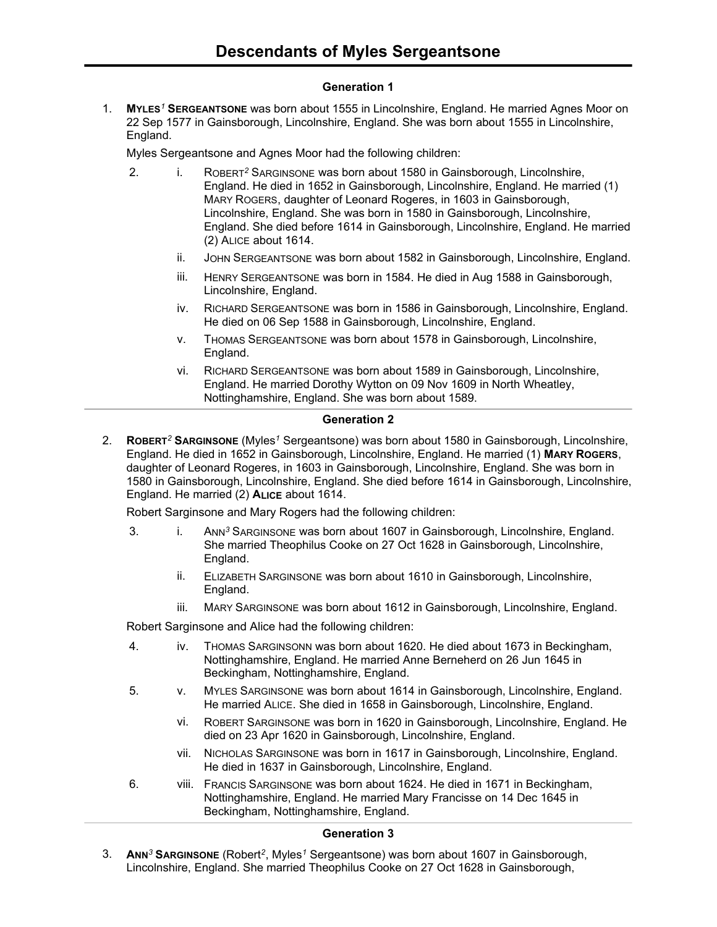# **Generation 1**

1. **MYLES***<sup>1</sup>* **SERGEANTSONE** was born about 1555 in Lincolnshire, England. He married Agnes Moor on 22 Sep 1577 in Gainsborough, Lincolnshire, England. She was born about 1555 in Lincolnshire, England.

Myles Sergeantsone and Agnes Moor had the following children:

- 2. i. ROBERT*<sup>2</sup>* SARGINSONE was born about 1580 in Gainsborough, Lincolnshire, England. He died in 1652 in Gainsborough, Lincolnshire, England. He married (1) MARY ROGERS, daughter of Leonard Rogeres, in 1603 in Gainsborough, Lincolnshire, England. She was born in 1580 in Gainsborough, Lincolnshire, England. She died before 1614 in Gainsborough, Lincolnshire, England. He married (2) ALICE about 1614.
	- ii. JOHN SERGEANTSONE was born about 1582 in Gainsborough, Lincolnshire, England.
	- iii. HENRY SERGEANTSONE was born in 1584. He died in Aug 1588 in Gainsborough, Lincolnshire, England.
	- iv. RICHARD SERGEANTSONE was born in 1586 in Gainsborough, Lincolnshire, England. He died on 06 Sep 1588 in Gainsborough, Lincolnshire, England.
	- v. THOMAS SERGEANTSONE was born about 1578 in Gainsborough, Lincolnshire, England.
	- vi. RICHARD SERGEANTSONE was born about 1589 in Gainsborough, Lincolnshire, England. He married Dorothy Wytton on 09 Nov 1609 in North Wheatley, Nottinghamshire, England. She was born about 1589.

#### **Generation 2**

2. **ROBERT***<sup>2</sup>* **SARGINSONE** (Myles*<sup>1</sup>* Sergeantsone) was born about 1580 in Gainsborough, Lincolnshire, England. He died in 1652 in Gainsborough, Lincolnshire, England. He married (1) **MARY ROGERS**, daughter of Leonard Rogeres, in 1603 in Gainsborough, Lincolnshire, England. She was born in 1580 in Gainsborough, Lincolnshire, England. She died before 1614 in Gainsborough, Lincolnshire, England. He married (2) **ALICE** about 1614.

Robert Sarginsone and Mary Rogers had the following children:

- 3. i. ANN*<sup>3</sup>* SARGINSONE was born about 1607 in Gainsborough, Lincolnshire, England. She married Theophilus Cooke on 27 Oct 1628 in Gainsborough, Lincolnshire, England.
	- ii. ELIZABETH SARGINSONE was born about 1610 in Gainsborough, Lincolnshire, England.
	- iii. MARY SARGINSONE was born about 1612 in Gainsborough, Lincolnshire, England.

Robert Sarginsone and Alice had the following children:

- 4. iv. THOMAS SARGINSONN was born about 1620. He died about 1673 in Beckingham, Nottinghamshire, England. He married Anne Berneherd on 26 Jun 1645 in Beckingham, Nottinghamshire, England.
- 5. v. MYLES SARGINSONE was born about 1614 in Gainsborough, Lincolnshire, England. He married ALICE. She died in 1658 in Gainsborough, Lincolnshire, England.
	- vi. ROBERT SARGINSONE was born in 1620 in Gainsborough, Lincolnshire, England. He died on 23 Apr 1620 in Gainsborough, Lincolnshire, England.
	- vii. NICHOLAS SARGINSONE was born in 1617 in Gainsborough, Lincolnshire, England. He died in 1637 in Gainsborough, Lincolnshire, England.
- 6. viii. FRANCIS SARGINSONE was born about 1624. He died in 1671 in Beckingham, Nottinghamshire, England. He married Mary Francisse on 14 Dec 1645 in Beckingham, Nottinghamshire, England.

## **Generation 3**

3. **ANN***<sup>3</sup>* **SARGINSONE** (Robert*<sup>2</sup>* , Myles*<sup>1</sup>* Sergeantsone) was born about 1607 in Gainsborough, Lincolnshire, England. She married Theophilus Cooke on 27 Oct 1628 in Gainsborough,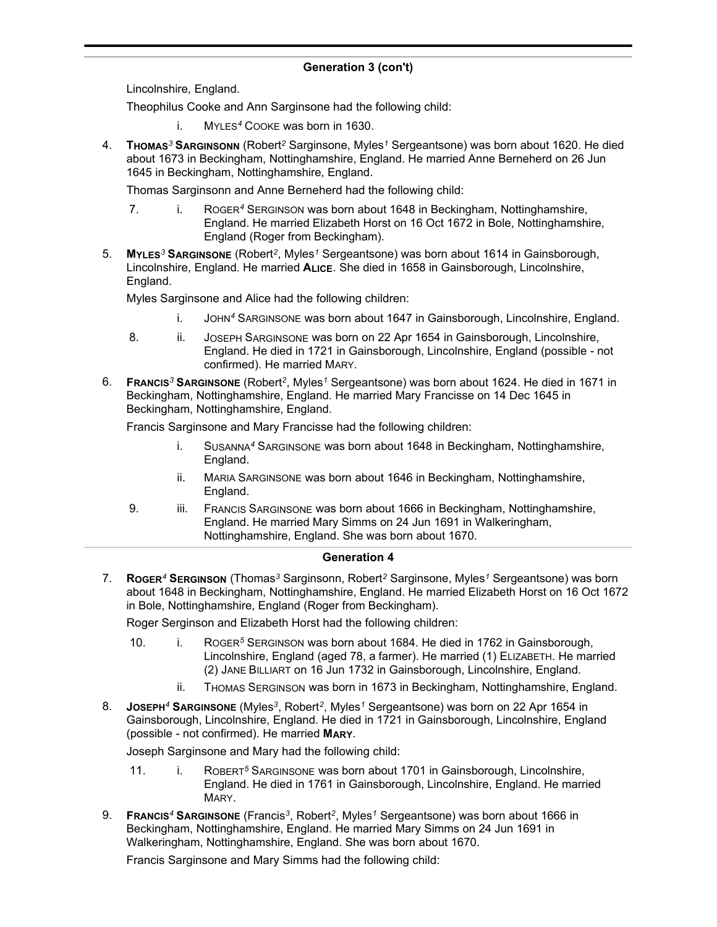# **Generation 3 (con't)**

Lincolnshire, England.

Theophilus Cooke and Ann Sarginsone had the following child:

- i. MYLES*<sup>4</sup>* COOKE was born in 1630.
- 4. **THOMAS***<sup>3</sup>* **SARGINSONN** (Robert*<sup>2</sup>* Sarginsone, Myles*<sup>1</sup>* Sergeantsone) was born about 1620. He died about 1673 in Beckingham, Nottinghamshire, England. He married Anne Berneherd on 26 Jun 1645 in Beckingham, Nottinghamshire, England.

Thomas Sarginsonn and Anne Berneherd had the following child:

- 7. i. ROGER*<sup>4</sup>* SERGINSON was born about 1648 in Beckingham, Nottinghamshire, England. He married Elizabeth Horst on 16 Oct 1672 in Bole, Nottinghamshire, England (Roger from Beckingham).
- 5. **MYLES***<sup>3</sup>* **SARGINSONE** (Robert*<sup>2</sup>* , Myles*<sup>1</sup>* Sergeantsone) was born about 1614 in Gainsborough, Lincolnshire, England. He married **ALICE**. She died in 1658 in Gainsborough, Lincolnshire, England.

Myles Sarginsone and Alice had the following children:

- i. JOHN*<sup>4</sup>* SARGINSONE was born about 1647 in Gainsborough, Lincolnshire, England.
- 8. ii. JOSEPH SARGINSONE was born on 22 Apr 1654 in Gainsborough, Lincolnshire, England. He died in 1721 in Gainsborough, Lincolnshire, England (possible - not confirmed). He married MARY.
- 6. **FRANCIS***<sup>3</sup>* **SARGINSONE** (Robert*<sup>2</sup>* , Myles*<sup>1</sup>* Sergeantsone) was born about 1624. He died in 1671 in Beckingham, Nottinghamshire, England. He married Mary Francisse on 14 Dec 1645 in Beckingham, Nottinghamshire, England.

Francis Sarginsone and Mary Francisse had the following children:

- i. SUSANNA*<sup>4</sup>* SARGINSONE was born about 1648 in Beckingham, Nottinghamshire, England.
- ii. MARIA SARGINSONE was born about 1646 in Beckingham, Nottinghamshire, England.
- 9. iii. FRANCIS SARGINSONE was born about 1666 in Beckingham, Nottinghamshire, England. He married Mary Simms on 24 Jun 1691 in Walkeringham, Nottinghamshire, England. She was born about 1670.

## **Generation 4**

7. **ROGER***<sup>4</sup>* **SERGINSON** (Thomas*<sup>3</sup>* Sarginsonn, Robert*<sup>2</sup>* Sarginsone, Myles*<sup>1</sup>* Sergeantsone) was born about 1648 in Beckingham, Nottinghamshire, England. He married Elizabeth Horst on 16 Oct 1672 in Bole, Nottinghamshire, England (Roger from Beckingham).

Roger Serginson and Elizabeth Horst had the following children:

- 10. i. ROGER*<sup>5</sup>* SERGINSON was born about 1684. He died in 1762 in Gainsborough, Lincolnshire, England (aged 78, a farmer). He married (1) ELIZABETH. He married (2) JANE BILLIART on 16 Jun 1732 in Gainsborough, Lincolnshire, England.
	- ii. THOMAS SERGINSON was born in 1673 in Beckingham, Nottinghamshire, England.
- 8. **JOSEPH***<sup>4</sup>* **SARGINSONE** (Myles*<sup>3</sup>* , Robert*<sup>2</sup>* , Myles*<sup>1</sup>* Sergeantsone) was born on 22 Apr 1654 in Gainsborough, Lincolnshire, England. He died in 1721 in Gainsborough, Lincolnshire, England (possible - not confirmed). He married **MARY**.

Joseph Sarginsone and Mary had the following child:

- 11. i. ROBERT*<sup>5</sup>* SARGINSONE was born about 1701 in Gainsborough, Lincolnshire, England. He died in 1761 in Gainsborough, Lincolnshire, England. He married MARY.
- 9. **FRANCIS***<sup>4</sup>* **SARGINSONE** (Francis*<sup>3</sup>* , Robert*<sup>2</sup>* , Myles*<sup>1</sup>* Sergeantsone) was born about 1666 in Beckingham, Nottinghamshire, England. He married Mary Simms on 24 Jun 1691 in Walkeringham, Nottinghamshire, England. She was born about 1670.

Francis Sarginsone and Mary Simms had the following child: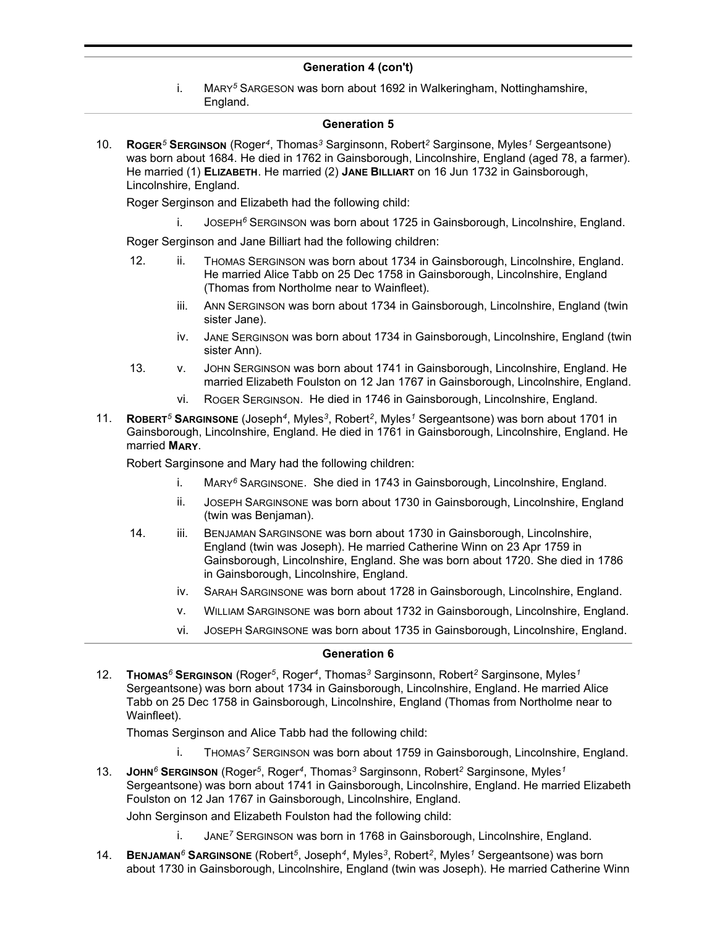### **Generation 4 (con't)**

i. MARY*<sup>5</sup>* SARGESON was born about 1692 in Walkeringham, Nottinghamshire, England.

#### **Generation 5**

10. **ROGER***<sup>5</sup>* **SERGINSON** (Roger*<sup>4</sup>* , Thomas*<sup>3</sup>* Sarginsonn, Robert*<sup>2</sup>* Sarginsone, Myles*<sup>1</sup>* Sergeantsone) was born about 1684. He died in 1762 in Gainsborough, Lincolnshire, England (aged 78, a farmer). He married (1) **ELIZABETH**. He married (2) **JANE BILLIART** on 16 Jun 1732 in Gainsborough, Lincolnshire, England.

Roger Serginson and Elizabeth had the following child:

i. JOSEPH*<sup>6</sup>* SERGINSON was born about 1725 in Gainsborough, Lincolnshire, England.

Roger Serginson and Jane Billiart had the following children:

- 12. ii. THOMAS SERGINSON was born about 1734 in Gainsborough, Lincolnshire, England. He married Alice Tabb on 25 Dec 1758 in Gainsborough, Lincolnshire, England (Thomas from Northolme near to Wainfleet).
	- iii. ANN SERGINSON was born about 1734 in Gainsborough, Lincolnshire, England (twin sister Jane).
	- iv. JANE SERGINSON was born about 1734 in Gainsborough, Lincolnshire, England (twin sister Ann).
- 13. v. JOHN SERGINSON was born about 1741 in Gainsborough, Lincolnshire, England. He married Elizabeth Foulston on 12 Jan 1767 in Gainsborough, Lincolnshire, England.
	- vi. ROGER SERGINSON. He died in 1746 in Gainsborough, Lincolnshire, England.
- 11. **ROBERT***<sup>5</sup>* **SARGINSONE** (Joseph*<sup>4</sup>* , Myles*<sup>3</sup>* , Robert*<sup>2</sup>* , Myles*<sup>1</sup>* Sergeantsone) was born about 1701 in Gainsborough, Lincolnshire, England. He died in 1761 in Gainsborough, Lincolnshire, England. He married **MARY**.

Robert Sarginsone and Mary had the following children:

- i. MARY*<sup>6</sup>* SARGINSONE. She died in 1743 in Gainsborough, Lincolnshire, England.
- ii. JOSEPH SARGINSONE was born about 1730 in Gainsborough, Lincolnshire, England (twin was Benjaman).
- 14. iii. BENJAMAN SARGINSONE was born about 1730 in Gainsborough, Lincolnshire, England (twin was Joseph). He married Catherine Winn on 23 Apr 1759 in Gainsborough, Lincolnshire, England. She was born about 1720. She died in 1786 in Gainsborough, Lincolnshire, England.
	- iv. SARAH SARGINSONE was born about 1728 in Gainsborough, Lincolnshire, England.
	- v. WILLIAM SARGINSONE was born about 1732 in Gainsborough, Lincolnshire, England.
	- vi. JOSEPH SARGINSONE was born about 1735 in Gainsborough, Lincolnshire, England.

#### **Generation 6**

12. **THOMAS***<sup>6</sup>* **SERGINSON** (Roger*<sup>5</sup>* , Roger*<sup>4</sup>* , Thomas*<sup>3</sup>* Sarginsonn, Robert*<sup>2</sup>* Sarginsone, Myles*<sup>1</sup>* Sergeantsone) was born about 1734 in Gainsborough, Lincolnshire, England. He married Alice Tabb on 25 Dec 1758 in Gainsborough, Lincolnshire, England (Thomas from Northolme near to Wainfleet).

Thomas Serginson and Alice Tabb had the following child:

- i. THOMAS*<sup>7</sup>* SERGINSON was born about 1759 in Gainsborough, Lincolnshire, England.
- 13. **JOHN***<sup>6</sup>* **SERGINSON** (Roger*<sup>5</sup>* , Roger*<sup>4</sup>* , Thomas*<sup>3</sup>* Sarginsonn, Robert*<sup>2</sup>* Sarginsone, Myles*<sup>1</sup>* Sergeantsone) was born about 1741 in Gainsborough, Lincolnshire, England. He married Elizabeth Foulston on 12 Jan 1767 in Gainsborough, Lincolnshire, England.

John Serginson and Elizabeth Foulston had the following child:

- i. JANE*<sup>7</sup>* SERGINSON was born in 1768 in Gainsborough, Lincolnshire, England.
- 14. **BENJAMAN***<sup>6</sup>* **SARGINSONE** (Robert*<sup>5</sup>* , Joseph*<sup>4</sup>* , Myles*<sup>3</sup>* , Robert*<sup>2</sup>* , Myles*<sup>1</sup>* Sergeantsone) was born about 1730 in Gainsborough, Lincolnshire, England (twin was Joseph). He married Catherine Winn